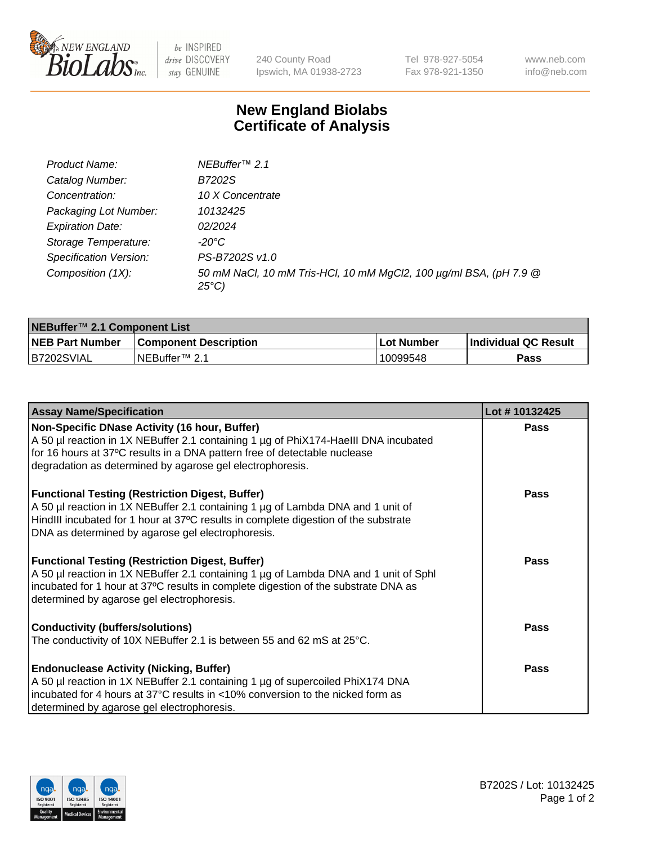

 $be$  INSPIRED drive DISCOVERY stay GENUINE

240 County Road Ipswich, MA 01938-2723 Tel 978-927-5054 Fax 978-921-1350 www.neb.com info@neb.com

## **New England Biolabs Certificate of Analysis**

| Product Name:                 | NEBuffer <sup>™</sup> 2.1                                                          |
|-------------------------------|------------------------------------------------------------------------------------|
| Catalog Number:               | B7202S                                                                             |
| Concentration:                | 10 X Concentrate                                                                   |
| Packaging Lot Number:         | 10132425                                                                           |
| <b>Expiration Date:</b>       | 02/2024                                                                            |
| Storage Temperature:          | -20°C                                                                              |
| <b>Specification Version:</b> | PS-B7202S v1.0                                                                     |
| Composition (1X):             | 50 mM NaCl, 10 mM Tris-HCl, 10 mM MgCl2, 100 µg/ml BSA, (pH 7.9 @<br>$25^{\circ}C$ |

| NEBuffer <sup>™</sup> 2.1 Component List |                              |              |                             |  |  |
|------------------------------------------|------------------------------|--------------|-----------------------------|--|--|
| <b>NEB Part Number</b>                   | <b>Component Description</b> | . Lot Number | <b>Individual QC Result</b> |  |  |
| B7202SVIAL                               | NEBuffer™ 2.1                | 10099548     | <b>Pass</b>                 |  |  |

| <b>Assay Name/Specification</b>                                                      | Lot #10132425 |
|--------------------------------------------------------------------------------------|---------------|
| Non-Specific DNase Activity (16 hour, Buffer)                                        | <b>Pass</b>   |
| A 50 µl reaction in 1X NEBuffer 2.1 containing 1 µg of PhiX174-HaellI DNA incubated  |               |
| for 16 hours at 37°C results in a DNA pattern free of detectable nuclease            |               |
| degradation as determined by agarose gel electrophoresis.                            |               |
| <b>Functional Testing (Restriction Digest, Buffer)</b>                               | <b>Pass</b>   |
| A 50 µl reaction in 1X NEBuffer 2.1 containing 1 µg of Lambda DNA and 1 unit of      |               |
| HindIII incubated for 1 hour at 37°C results in complete digestion of the substrate  |               |
| DNA as determined by agarose gel electrophoresis.                                    |               |
| <b>Functional Testing (Restriction Digest, Buffer)</b>                               | <b>Pass</b>   |
| A 50 µl reaction in 1X NEBuffer 2.1 containing 1 µg of Lambda DNA and 1 unit of Sphl |               |
| incubated for 1 hour at 37°C results in complete digestion of the substrate DNA as   |               |
| determined by agarose gel electrophoresis.                                           |               |
| <b>Conductivity (buffers/solutions)</b>                                              | <b>Pass</b>   |
| The conductivity of 10X NEBuffer 2.1 is between 55 and 62 mS at $25^{\circ}$ C.      |               |
| <b>Endonuclease Activity (Nicking, Buffer)</b>                                       | <b>Pass</b>   |
| A 50 µl reaction in 1X NEBuffer 2.1 containing 1 µg of supercoiled PhiX174 DNA       |               |
| incubated for 4 hours at 37°C results in <10% conversion to the nicked form as       |               |
| determined by agarose gel electrophoresis.                                           |               |